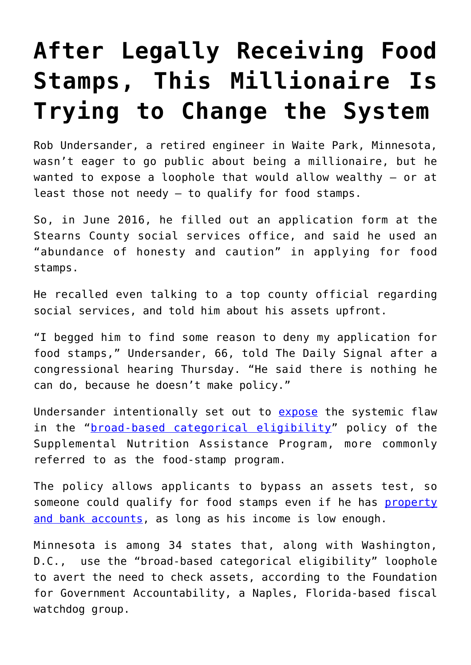## **[After Legally Receiving Food](https://intellectualtakeout.org/2019/06/after-legally-receiving-food-stamps-this-millionaire-is-trying-to-change-the-system/) [Stamps, This Millionaire Is](https://intellectualtakeout.org/2019/06/after-legally-receiving-food-stamps-this-millionaire-is-trying-to-change-the-system/) [Trying to Change the System](https://intellectualtakeout.org/2019/06/after-legally-receiving-food-stamps-this-millionaire-is-trying-to-change-the-system/)**

Rob Undersander, a retired engineer in Waite Park, Minnesota, wasn't eager to go public about being a millionaire, but he wanted to expose a loophole that would allow wealthy – or at least those not needy – to qualify for food stamps.

So, in June 2016, he filled out an application form at the Stearns County social services office, and said he used an "abundance of honesty and caution" in applying for food stamps.

He recalled even talking to a top county official regarding social services, and told him about his assets upfront.

"I begged him to find some reason to deny my application for food stamps," Undersander, 66, told The Daily Signal after a congressional hearing Thursday. "He said there is nothing he can do, because he doesn't make policy."

Undersander intentionally set out to [expose](https://www.twincities.com/2018/04/11/minnesota-millionaire-tells-lawmakers-he-got-food-stamps-to-make-a-point/) the systemic flaw in the "[broad-based categorical eligibility](https://www.dailysignal.com/2014/01/27/big-bank-account-problem-may-still-qualify-food-stamps/)" policy of the Supplemental Nutrition Assistance Program, more commonly referred to as the food-stamp program.

The policy allows applicants to bypass an assets test, so someone could qualify for food stamps even if he has [property](https://www.twincities.com/2018/04/11/minnesota-millionaire-tells-lawmakers-he-got-food-stamps-to-make-a-point/) [and bank accounts,](https://www.twincities.com/2018/04/11/minnesota-millionaire-tells-lawmakers-he-got-food-stamps-to-make-a-point/) as long as his income is low enough.

Minnesota is among 34 states that, along with Washington, D.C., use the "broad-based categorical eligibility" loophole to avert the need to check assets, according to the Foundation for Government Accountability, a Naples, Florida-based fiscal watchdog group.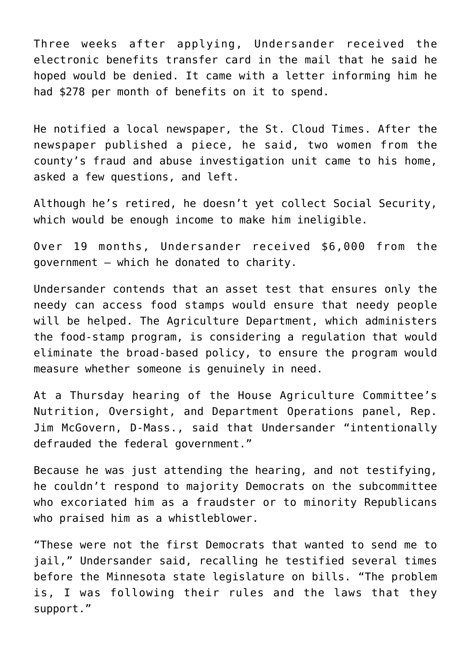Three weeks after applying, Undersander received the electronic benefits transfer card in the mail that he said he hoped would be denied. It came with a letter informing him he had \$278 per month of benefits on it to spend.

He notified a local newspaper, the St. Cloud Times. After the newspaper published a piece, he said, two women from the county's fraud and abuse investigation unit came to his home, asked a few questions, and left.

Although he's retired, he doesn't yet collect Social Security, which would be enough income to make him ineligible.

Over 19 months, Undersander received \$6,000 from the government – which he donated to charity.

Undersander contends that an asset test that ensures only the needy can access food stamps would ensure that needy people will be helped. The Agriculture Department, which administers the food-stamp program, is considering a regulation that would eliminate the broad-based policy, to ensure the program would measure whether someone is genuinely in need.

At a Thursday hearing of the House Agriculture Committee's Nutrition, Oversight, and Department Operations panel, Rep. Jim McGovern, D-Mass., said that Undersander "intentionally defrauded the federal government."

Because he was just attending the hearing, and not testifying, he couldn't respond to majority Democrats on the subcommittee who excoriated him as a fraudster or to minority Republicans who praised him as a whistleblower.

"These were not the first Democrats that wanted to send me to jail," Undersander said, recalling he testified several times before the Minnesota state legislature on bills. "The problem is, I was following their rules and the laws that they support."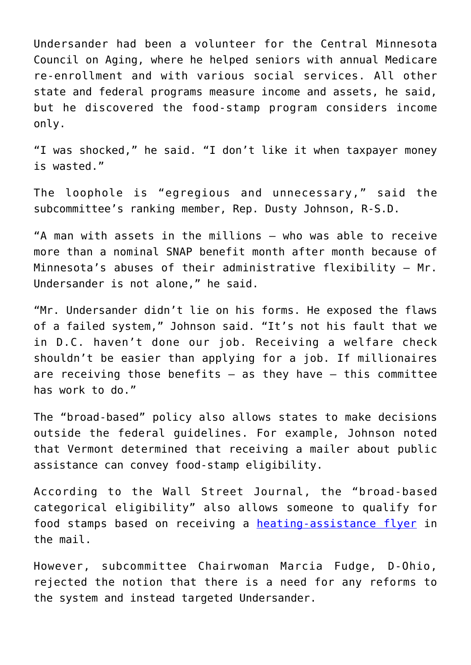Undersander had been a volunteer for the Central Minnesota Council on Aging, where he helped seniors with annual Medicare re-enrollment and with various social services. All other state and federal programs measure income and assets, he said, but he discovered the food-stamp program considers income only.

"I was shocked," he said. "I don't like it when taxpayer money is wasted."

The loophole is "egregious and unnecessary," said the subcommittee's ranking member, Rep. Dusty Johnson, R-S.D.

"A man with assets in the millions – who was able to receive more than a nominal SNAP benefit month after month because of Minnesota's abuses of their administrative flexibility – Mr. Undersander is not alone," he said.

"Mr. Undersander didn't lie on his forms. He exposed the flaws of a failed system," Johnson said. "It's not his fault that we in D.C. haven't done our job. Receiving a welfare check shouldn't be easier than applying for a job. If millionaires are receiving those benefits  $-$  as they have  $-$  this committee has work to do."

The "broad-based" policy also allows states to make decisions outside the federal guidelines. For example, Johnson noted that Vermont determined that receiving a mailer about public assistance can convey food-stamp eligibility.

According to the Wall Street Journal, the "broad-based categorical eligibility" also allows someone to qualify for food stamps based on receiving a [heating-assistance flyer](https://www.wsj.com/articles/the-gops-food-stamp-failure-1544398438) in the mail.

However, subcommittee Chairwoman Marcia Fudge, D-Ohio, rejected the notion that there is a need for any reforms to the system and instead targeted Undersander.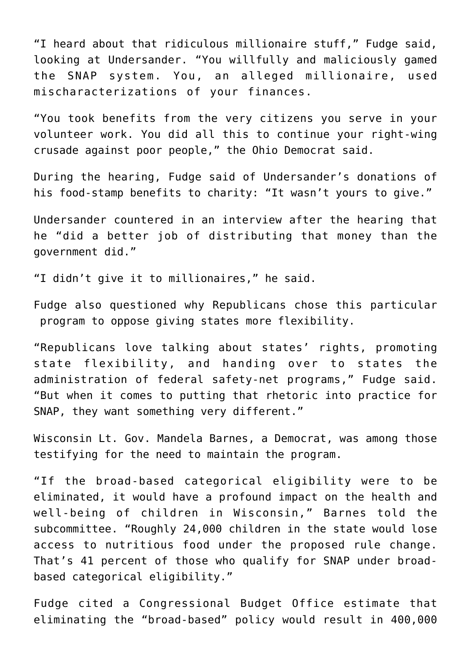"I heard about that ridiculous millionaire stuff," Fudge said, looking at Undersander. "You willfully and maliciously gamed the SNAP system. You, an alleged millionaire, used mischaracterizations of your finances.

"You took benefits from the very citizens you serve in your volunteer work. You did all this to continue your right-wing crusade against poor people," the Ohio Democrat said.

During the hearing, Fudge said of Undersander's donations of his food-stamp benefits to charity: "It wasn't yours to give."

Undersander countered in an interview after the hearing that he "did a better job of distributing that money than the government did."

"I didn't give it to millionaires," he said.

Fudge also questioned why Republicans chose this particular program to oppose giving states more flexibility.

"Republicans love talking about states' rights, promoting state flexibility, and handing over to states the administration of federal safety-net programs," Fudge said. "But when it comes to putting that rhetoric into practice for SNAP, they want something very different."

Wisconsin Lt. Gov. Mandela Barnes, a Democrat, was among those testifying for the need to maintain the program.

"If the broad-based categorical eligibility were to be eliminated, it would have a profound impact on the health and well-being of children in Wisconsin," Barnes told the subcommittee. "Roughly 24,000 children in the state would lose access to nutritious food under the proposed rule change. That's 41 percent of those who qualify for SNAP under broadbased categorical eligibility."

Fudge cited a Congressional Budget Office estimate that eliminating the "broad-based" policy would result in 400,000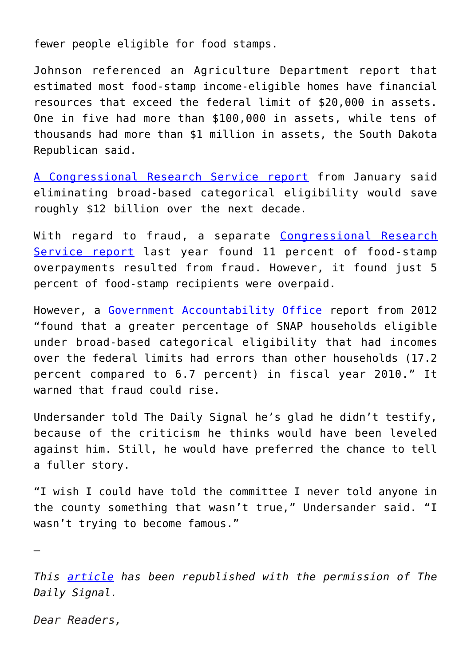fewer people eligible for food stamps.

Johnson referenced an Agriculture Department report that estimated most food-stamp income-eligible homes have financial resources that exceed the federal limit of \$20,000 in assets. One in five had more than \$100,000 in assets, while tens of thousands had more than \$1 million in assets, the South Dakota Republican said.

[A Congressional Research Service report](http://www.fas.org/sgp/crs/misc/R42054.pdf) from January said eliminating broad-based categorical eligibility would save roughly \$12 billion over the next decade.

With regard to fraud, a separate [Congressional Research](https://fas.org/sgp/crs/misc/R45147.pdf) [Service report](https://fas.org/sgp/crs/misc/R45147.pdf) last year found 11 percent of food-stamp overpayments resulted from fraud. However, it found just 5 percent of food-stamp recipients were overpaid.

However, a [Government Accountability Office](http://thehill.com/blogs/floor-action/house/241141-gao-says-expanded-food-stamp-eligibility-raises-costs-chances-of-abuse#ixzz2rATJlGpz) report from 2012 "found that a greater percentage of SNAP households eligible under broad-based categorical eligibility that had incomes over the federal limits had errors than other households (17.2 percent compared to 6.7 percent) in fiscal year 2010." It warned that fraud could rise.

Undersander told The Daily Signal he's glad he didn't testify, because of the criticism he thinks would have been leveled against him. Still, he would have preferred the chance to tell a fuller story.

"I wish I could have told the committee I never told anyone in the county something that wasn't true," Undersander said. "I wasn't trying to become famous."

—

*This [article](https://www.dailysignal.com/2019/06/24/after-legally-receiving-food-stamps-this-millionaire-is-trying-to-change-the-system/) has been republished with the permission of The Daily Signal.*

*Dear Readers,*